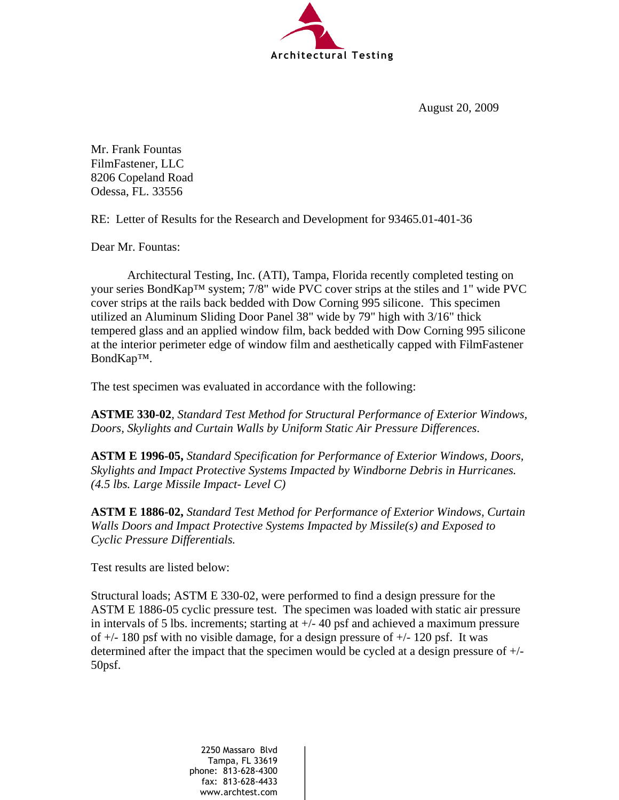

August 20, 2009

Mr. Frank Fountas FilmFastener, LLC 8206 Copeland Road Odessa, FL. 33556

RE: Letter of Results for the Research and Development for 93465.01-401-36

Dear Mr. Fountas:

 Architectural Testing, Inc. (ATI), Tampa, Florida recently completed testing on your series BondKap™ system; 7/8" wide PVC cover strips at the stiles and 1" wide PVC cover strips at the rails back bedded with Dow Corning 995 silicone. This specimen utilized an Aluminum Sliding Door Panel 38" wide by 79" high with 3/16" thick tempered glass and an applied window film, back bedded with Dow Corning 995 silicone at the interior perimeter edge of window film and aesthetically capped with FilmFastener BondKap™.

The test specimen was evaluated in accordance with the following:

**ASTME 330-02**, *Standard Test Method for Structural Performance of Exterior Windows, Doors, Skylights and Curtain Walls by Uniform Static Air Pressure Differences*.

**ASTM E 1996-05,** *Standard Specification for Performance of Exterior Windows, Doors, Skylights and Impact Protective Systems Impacted by Windborne Debris in Hurricanes. (4.5 lbs. Large Missile Impact- Level C)* 

**ASTM E 1886-02,** *Standard Test Method for Performance of Exterior Windows, Curtain Walls Doors and Impact Protective Systems Impacted by Missile(s) and Exposed to Cyclic Pressure Differentials.* 

Test results are listed below:

Structural loads; ASTM E 330-02, were performed to find a design pressure for the ASTM E 1886-05 cyclic pressure test. The specimen was loaded with static air pressure in intervals of 5 lbs. increments; starting at  $+/-$  40 psf and achieved a maximum pressure of  $+/- 180$  psf with no visible damage, for a design pressure of  $+/- 120$  psf. It was determined after the impact that the specimen would be cycled at a design pressure of +/- 50psf.

> 2250 Massaro Blvd Tampa, FL 33619 phone: 813-628-4300 fax: 813-628-4433 www.archtest.com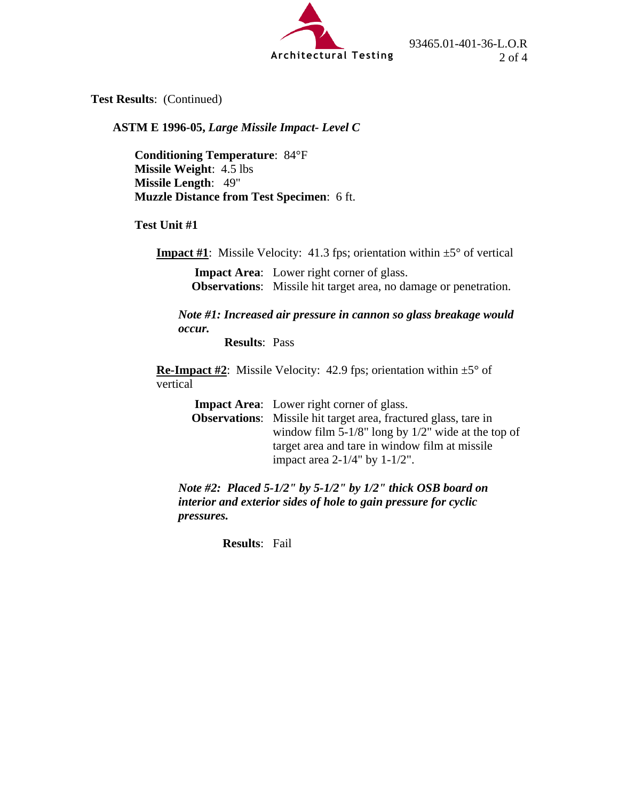

**Test Results**: (Continued)

**ASTM E 1996-05,** *Large Missile Impact- Level C* 

**Conditioning Temperature**: 84°F **Missile Weight**: 4.5 lbs **Missile Length**: 49" **Muzzle Distance from Test Specimen**: 6 ft.

**Test Unit #1** 

**Impact #1**: Missile Velocity: 41.3 fps; orientation within  $\pm 5^{\circ}$  of vertical

 **Impact Area**: Lower right corner of glass.  **Observations**: Missile hit target area, no damage or penetration.

*Note #1: Increased air pressure in cannon so glass breakage would occur.*

 **Results**: Pass

**Re-Impact #2:** Missile Velocity: 42.9 fps; orientation within  $\pm 5^{\circ}$  of vertical

 **Impact Area**: Lower right corner of glass.

 **Observations**: Missile hit target area, fractured glass, tare in window film 5-1/8" long by 1/2" wide at the top of target area and tare in window film at missile impact area 2-1/4" by 1-1/2".

*Note #2: Placed 5-1/2" by 5-1/2" by 1/2" thick OSB board on interior and exterior sides of hole to gain pressure for cyclic pressures.*

 **Results**: Fail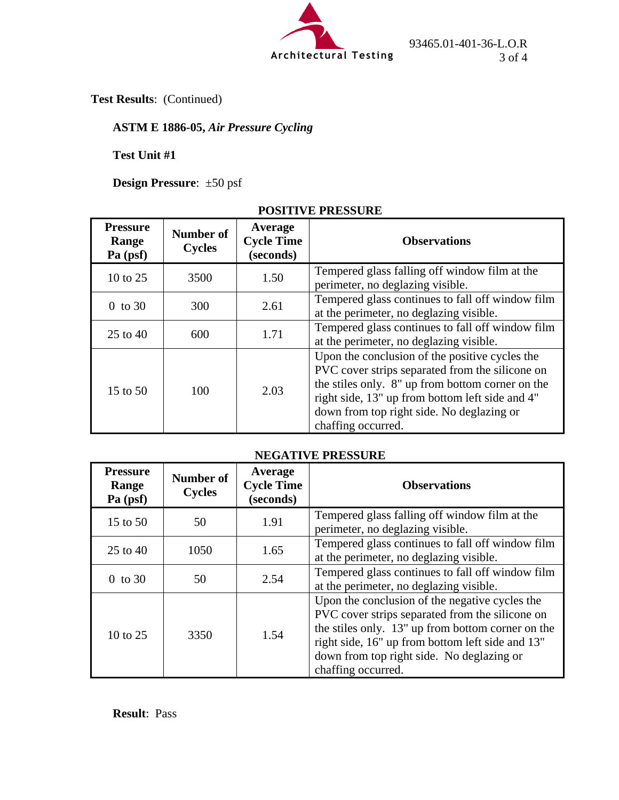

93465.01-401-36-L.O.R

**Test Results**: (Continued)

## **ASTM E 1886-05,** *Air Pressure Cycling*

**Test Unit #1**

**Design Pressure**: ±50 psf

## **POSITIVE PRESSURE**

| <b>Pressure</b><br>Range<br>Pa (psf) | Number of<br><b>Cycles</b> | Average<br><b>Cycle Time</b><br>(seconds) | <b>Observations</b>                                                                                                                                                                                                                                                         |
|--------------------------------------|----------------------------|-------------------------------------------|-----------------------------------------------------------------------------------------------------------------------------------------------------------------------------------------------------------------------------------------------------------------------------|
| 10 to $25$                           | 3500                       | 1.50                                      | Tempered glass falling off window film at the<br>perimeter, no deglazing visible.                                                                                                                                                                                           |
| $0$ to 30                            | 300                        | 2.61                                      | Tempered glass continues to fall off window film<br>at the perimeter, no deglazing visible.                                                                                                                                                                                 |
| 25 to 40                             | 600                        | 1.71                                      | Tempered glass continues to fall off window film<br>at the perimeter, no deglazing visible.                                                                                                                                                                                 |
| 15 to $50$                           | 100                        | 2.03                                      | Upon the conclusion of the positive cycles the<br>PVC cover strips separated from the silicone on<br>the stiles only. 8" up from bottom corner on the<br>right side, 13" up from bottom left side and 4"<br>down from top right side. No deglazing or<br>chaffing occurred. |

## **NEGATIVE PRESSURE**

| <b>Pressure</b><br>Range<br>Pa (psf) | <b>Number of</b><br><b>Cycles</b> | Average<br><b>Cycle Time</b><br>(seconds) | <b>Observations</b>                                                                                                                                                                                                                                                           |
|--------------------------------------|-----------------------------------|-------------------------------------------|-------------------------------------------------------------------------------------------------------------------------------------------------------------------------------------------------------------------------------------------------------------------------------|
| 15 to 50                             | 50                                | 1.91                                      | Tempered glass falling off window film at the<br>perimeter, no deglazing visible.                                                                                                                                                                                             |
| $25$ to $40$                         | 1050                              | 1.65                                      | Tempered glass continues to fall off window film<br>at the perimeter, no deglazing visible.                                                                                                                                                                                   |
| $0$ to 30                            | 50                                | 2.54                                      | Tempered glass continues to fall off window film<br>at the perimeter, no deglazing visible.                                                                                                                                                                                   |
| 10 to $25$                           | 3350                              | 1.54                                      | Upon the conclusion of the negative cycles the<br>PVC cover strips separated from the silicone on<br>the stiles only. 13" up from bottom corner on the<br>right side, 16" up from bottom left side and 13"<br>down from top right side. No deglazing or<br>chaffing occurred. |

**Result**: Pass